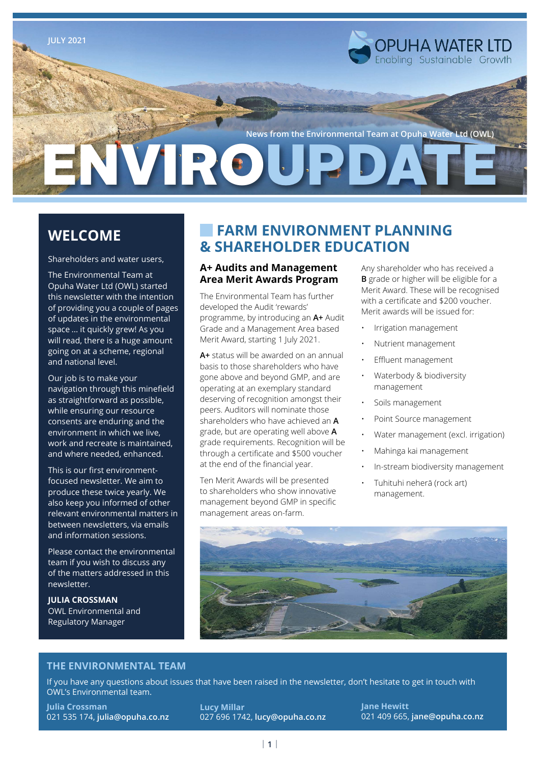

## **WELCOME**

Shareholders and water users,

The Environmental Team at Opuha Water Ltd (OWL) started this newsletter with the intention of providing you a couple of pages of updates in the environmental space ... it quickly grew! As you will read, there is a huge amount going on at a scheme, regional and national level.

Our job is to make your navigation through this minefield as straightforward as possible, while ensuring our resource consents are enduring and the environment in which we live, work and recreate is maintained, and where needed, enhanced.

This is our first environmentfocused newsletter. We aim to produce these twice yearly. We also keep you informed of other relevant environmental matters in between newsletters, via emails and information sessions.

Please contact the environmental team if you wish to discuss any of the matters addressed in this newsletter.

**JULIA CROSSMAN** OWL Environmental and Regulatory Manager

# **FARM ENVIRONMENT PLANNING & SHAREHOLDER EDUCATION**

#### **A+ Audits and Management Area Merit Awards Program**

The Environmental Team has further developed the Audit 'rewards' programme, by introducing an **A+** Audit Grade and a Management Area based Merit Award, starting 1 July 2021.

**A+** status will be awarded on an annual basis to those shareholders who have gone above and beyond GMP, and are operating at an exemplary standard deserving of recognition amongst their peers. Auditors will nominate those shareholders who have achieved an **A** grade, but are operating well above **A** grade requirements. Recognition will be through a certificate and \$500 voucher at the end of the financial year.

Ten Merit Awards will be presented to shareholders who show innovative management beyond GMP in specific management areas on-farm.

Any shareholder who has received a **B** grade or higher will be eligible for a Merit Award. These will be recognised with a certificate and \$200 voucher. Merit awards will be issued for:

- Irrigation management
- Nutrient management
- Effluent management
- Waterbody & biodiversity management
- Soils management
- Point Source management
- Water management (excl. irrigation)
- Mahinga kai management
- In-stream biodiversity management
- Tuhituhi neherā (rock art) management.



#### **THE ENVIRONMENTAL TEAM**

If you have any questions about issues that have been raised in the newsletter, don't hesitate to get in touch with OWL's Environmental team.

**Julia Crossman** 021 535 174, **[julia@opuha.co.nz](mailto:julia%40opuha.co.nz?subject=Opuha%20Water)** **Lucy Millar** 027 696 1742, **[lucy@opuha.co.nz](mailto:lucy%40opuha.co.nz?subject=Opuha%20Water)** **Jane Hewitt** 021 409 665, **[jane@opuha.co.nz](mailto:jane%40opuha.co.nz?subject=Opuha%20Water)**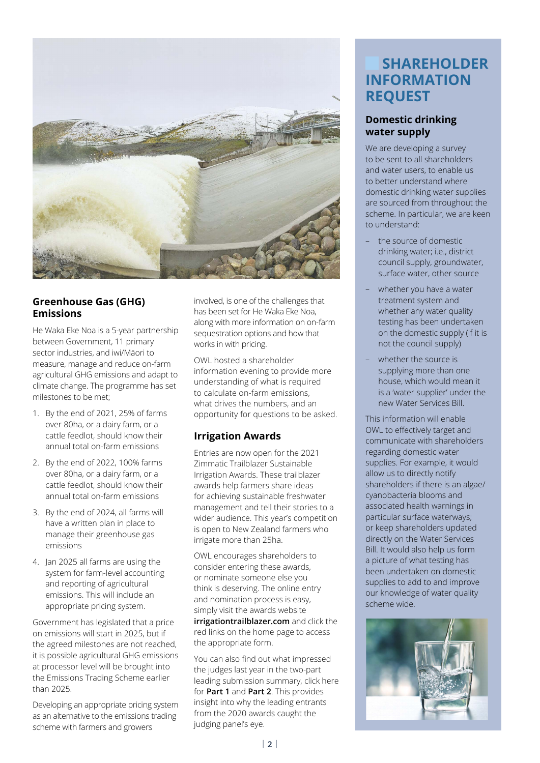

#### **Greenhouse Gas (GHG) Emissions**

He Waka Eke Noa is a 5-year partnership between Government, 11 primary sector industries, and iwi/Māori to measure, manage and reduce on-farm agricultural GHG emissions and adapt to climate change. The programme has set milestones to be met;

- 1. By the end of 2021, 25% of farms over 80ha, or a dairy farm, or a cattle feedlot, should know their annual total on-farm emissions
- 2. By the end of 2022, 100% farms over 80ha, or a dairy farm, or a cattle feedlot, should know their annual total on-farm emissions
- 3. By the end of 2024, all farms will have a written plan in place to manage their greenhouse gas emissions
- 4. Jan 2025 all farms are using the system for farm-level accounting and reporting of agricultural emissions. This will include an appropriate pricing system.

Government has legislated that a price on emissions will start in 2025, but if the agreed milestones are not reached, it is possible agricultural GHG emissions at processor level will be brought into the Emissions Trading Scheme earlier than 2025.

Developing an appropriate pricing system as an alternative to the emissions trading scheme with farmers and growers

involved, is one of the challenges that has been set for He Waka Eke Noa, along with more information on on-farm sequestration options and how that works in with pricing.

OWL hosted a shareholder information evening to provide more understanding of what is required to calculate on-farm emissions, what drives the numbers, and an opportunity for questions to be asked.

## **Irrigation Awards**

Entries are now open for the 2021 Zimmatic Trailblazer Sustainable Irrigation Awards. These trailblazer awards help farmers share ideas for achieving sustainable freshwater management and tell their stories to a wider audience. This year's competition is open to New Zealand farmers who irrigate more than 25ha.

OWL encourages shareholders to consider entering these awards, or nominate someone else you think is deserving. The online entry and nomination process is easy, simply visit the awards website **[irrigationtrailblazer.com](http://irrigationtrailblazer.com)** and click the red links on the home page to access the appropriate form.

You can also find out what impressed the judges last year in the two-part leading submission summary, click here for **[Part 1](https://www.irrigationtrailblazer.com/part-1-should-i-enter-the-awards)** and **[Part 2](https://www.irrigationtrailblazer.com/part-2-should-i-enter-the-awards)**. This provides insight into why the leading entrants from the 2020 awards caught the judging panel's eye.

# **SHAREHOLDER INFORMATION REQUEST**

#### **Domestic drinking water supply**

We are developing a survey to be sent to all shareholders and water users, to enable us to better understand where domestic drinking water supplies are sourced from throughout the scheme. In particular, we are keen to understand:

- the source of domestic drinking water; i.e., district council supply, groundwater, surface water, other source
- whether you have a water treatment system and whether any water quality testing has been undertaken on the domestic supply (if it is not the council supply)
- whether the source is supplying more than one house, which would mean it is a 'water supplier' under the new Water Services Bill.

This information will enable OWL to effectively target and communicate with shareholders regarding domestic water supplies. For example, it would allow us to directly notify shareholders if there is an algae/ cyanobacteria blooms and associated health warnings in particular surface waterways; or keep shareholders updated directly on the Water Services Bill. It would also help us form a picture of what testing has been undertaken on domestic supplies to add to and improve our knowledge of water quality scheme wide.

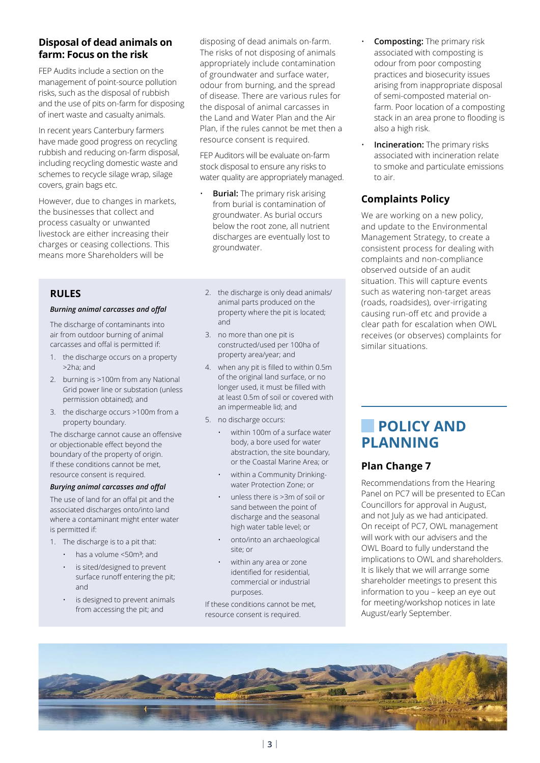### **Disposal of dead animals on farm: Focus on the risk**

FEP Audits include a section on the management of point-source pollution risks, such as the disposal of rubbish and the use of pits on-farm for disposing of inert waste and casualty animals.

In recent years Canterbury farmers have made good progress on recycling rubbish and reducing on-farm disposal, including recycling domestic waste and schemes to recycle silage wrap, silage covers, grain bags etc.

However, due to changes in markets, the businesses that collect and process casualty or unwanted livestock are either increasing their charges or ceasing collections. This means more Shareholders will be

#### **RULES**

#### *Burning animal carcasses and offal*

The discharge of contaminants into air from outdoor burning of animal carcasses and offal is permitted if:

- 1. the discharge occurs on a property >2ha; and
- 2. burning is >100m from any National Grid power line or substation (unless permission obtained); and
- 3. the discharge occurs >100m from a property boundary.

The discharge cannot cause an offensive or objectionable effect beyond the boundary of the property of origin. If these conditions cannot be met, resource consent is required.

#### *Burying animal carcasses and offal*

The use of land for an offal pit and the associated discharges onto/into land where a contaminant might enter water is permitted if:

- 1. The discharge is to a pit that:
	- $\cdot$  has a volume <50 $m^3$ ; and is sited/designed to prevent
	- surface runoff entering the pit; and
	- is designed to prevent animals from accessing the pit; and

disposing of dead animals on-farm. The risks of not disposing of animals appropriately include contamination of groundwater and surface water, odour from burning, and the spread of disease. There are various rules for the disposal of animal carcasses in the Land and Water Plan and the Air Plan, if the rules cannot be met then a resource consent is required.

FEP Auditors will be evaluate on-farm stock disposal to ensure any risks to water quality are appropriately managed.

- **Burial:** The primary risk arising from burial is contamination of groundwater. As burial occurs below the root zone, all nutrient discharges are eventually lost to groundwater.
- 2. the discharge is only dead animals/ animal parts produced on the property where the pit is located; and
- 3. no more than one pit is constructed/used per 100ha of property area/year; and
- 4. when any pit is filled to within 0.5m of the original land surface, or no longer used, it must be filled with at least 0.5m of soil or covered with an impermeable lid; and
- 5. no discharge occurs:
	- within 100m of a surface water body, a bore used for water abstraction, the site boundary, or the Coastal Marine Area; or
	- within a Community Drinkingwater Protection Zone; or
	- unless there is >3m of soil or sand between the point of discharge and the seasonal high water table level; or
	- onto/into an archaeological site; or
	- within any area or zone identified for residential, commercial or industrial purposes.

If these conditions cannot be met, resource consent is required.

- **Composting:** The primary risk associated with composting is odour from poor composting practices and biosecurity issues arising from inappropriate disposal of semi-composted material onfarm. Poor location of a composting stack in an area prone to flooding is also a high risk.
- **Incineration:** The primary risks associated with incineration relate to smoke and particulate emissions to air.

## **Complaints Policy**

We are working on a new policy, and update to the Environmental Management Strategy, to create a consistent process for dealing with complaints and non-compliance observed outside of an audit situation. This will capture events such as watering non-target areas (roads, roadsides), over-irrigating causing run-off etc and provide a clear path for escalation when OWL receives (or observes) complaints for similar situations.

# **POLICY AND PLANNING**

## **Plan Change 7**

Recommendations from the Hearing Panel on PC7 will be presented to ECan Councillors for approval in August, and not July as we had anticipated. On receipt of PC7, OWL management will work with our advisers and the OWL Board to fully understand the implications to OWL and shareholders. It is likely that we will arrange some shareholder meetings to present this information to you – keep an eye out for meeting/workshop notices in late August/early September.

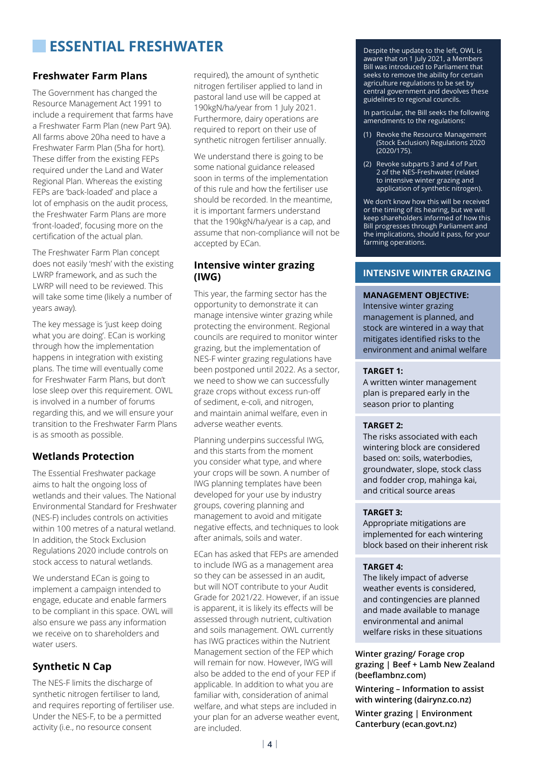# **ESSENTIAL FRESHWATER**

#### **Freshwater Farm Plans**

The Government has changed the Resource Management Act 1991 to include a requirement that farms have a Freshwater Farm Plan (new Part 9A). All farms above 20ha need to have a Freshwater Farm Plan (5ha for hort). These differ from the existing FEPs required under the Land and Water Regional Plan. Whereas the existing FEPs are 'back-loaded' and place a lot of emphasis on the audit process, the Freshwater Farm Plans are more 'front-loaded', focusing more on the certification of the actual plan.

The Freshwater Farm Plan concept does not easily 'mesh' with the existing LWRP framework, and as such the LWRP will need to be reviewed. This will take some time (likely a number of years away).

The key message is 'just keep doing what you are doing'. ECan is working through how the implementation happens in integration with existing plans. The time will eventually come for Freshwater Farm Plans, but don't lose sleep over this requirement. OWL is involved in a number of forums regarding this, and we will ensure your transition to the Freshwater Farm Plans is as smooth as possible.

#### **Wetlands Protection**

The Essential Freshwater package aims to halt the ongoing loss of wetlands and their values. The National Environmental Standard for Freshwater (NES-F) includes controls on activities within 100 metres of a natural wetland. In addition, the Stock Exclusion Regulations 2020 include controls on stock access to natural wetlands.

We understand ECan is going to implement a campaign intended to engage, educate and enable farmers to be compliant in this space. OWL will also ensure we pass any information we receive on to shareholders and water users.

## **Synthetic N Cap**

The NES-F limits the discharge of synthetic nitrogen fertiliser to land, and requires reporting of fertiliser use. Under the NES-F, to be a permitted activity (i.e., no resource consent

required), the amount of synthetic nitrogen fertiliser applied to land in pastoral land use will be capped at 190kgN/ha/year from 1 July 2021. Furthermore, dairy operations are required to report on their use of synthetic nitrogen fertiliser annually.

We understand there is going to be some national guidance released soon in terms of the implementation of this rule and how the fertiliser use should be recorded. In the meantime, it is important farmers understand that the 190kgN/ha/year is a cap, and assume that non-compliance will not be accepted by ECan.

#### **Intensive winter grazing (IWG)**

This year, the farming sector has the opportunity to demonstrate it can manage intensive winter grazing while protecting the environment. Regional councils are required to monitor winter grazing, but the implementation of NES-F winter grazing regulations have been postponed until 2022. As a sector, we need to show we can successfully graze crops without excess run-off of sediment, e-coli, and nitrogen, and maintain animal welfare, even in adverse weather events.

Planning underpins successful IWG, and this starts from the moment you consider what type, and where your crops will be sown. A number of IWG planning templates have been developed for your use by industry groups, covering planning and management to avoid and mitigate negative effects, and techniques to look after animals, soils and water.

ECan has asked that FEPs are amended to include IWG as a management area so they can be assessed in an audit, but will NOT contribute to your Audit Grade for 2021/22. However, if an issue is apparent, it is likely its effects will be assessed through nutrient, cultivation and soils management. OWL currently has IWG practices within the Nutrient Management section of the FEP which will remain for now. However, IWG will also be added to the end of your FEP if applicable. In addition to what you are familiar with, consideration of animal welfare, and what steps are included in your plan for an adverse weather event, are included.

Despite the update to the left, OWL is aware that on 1 July 2021, a Members Bill was introduced to Parliament that seeks to remove the ability for certain agriculture regulations to be set by central government and devolves these guidelines to regional councils.

In particular, the Bill seeks the following amendments to the regulations:

- (1) Revoke the Resource Management (Stock Exclusion) Regulations 2020 (2020/175).
- (2) Revoke subparts 3 and 4 of Part 2 of the NES-Freshwater (related to intensive winter grazing and application of synthetic nitrogen).

We don't know how this will be received or the timing of its hearing, but we will keep shareholders informed of how this Bill progresses through Parliament and the implications, should it pass, for your farming operations.

### **INTENSIVE WINTER GRAZING**

#### **MANAGEMENT OBJECTIVE:**

Intensive winter grazing management is planned, and stock are wintered in a way that mitigates identified risks to the environment and animal welfare

#### **TARGET 1:**

A written winter management plan is prepared early in the season prior to planting

#### **TARGET 2:**

The risks associated with each wintering block are considered based on: soils, waterbodies, groundwater, slope, stock class and fodder crop, mahinga kai, and critical source areas

#### **TARGET 3:**

Appropriate mitigations are implemented for each wintering block based on their inherent risk

#### **TARGET 4:**

The likely impact of adverse weather events is considered, and contingencies are planned and made available to manage environmental and animal welfare risks in these situations

**[Winter grazing/ Forage crop](https://beeflambnz.com/wintergrazing)  [grazing | Beef + Lamb New Zealand](https://beeflambnz.com/wintergrazing)  [\(beeflambnz.com\)](https://beeflambnz.com/wintergrazing)**

**[Wintering – Information to assist](https://www.dairynz.co.nz/feed/crops/wintering/)  [with wintering \(dairyn](https://www.dairynz.co.nz/feed/crops/wintering/)z.co.nz)**

**[Winter grazing | Environment](https://www.ecan.govt.nz/your-region/farmers-hub/farming-resources/winter-grazing/)  [Canterbury \(ecan.govt.nz\)](https://www.ecan.govt.nz/your-region/farmers-hub/farming-resources/winter-grazing/)**